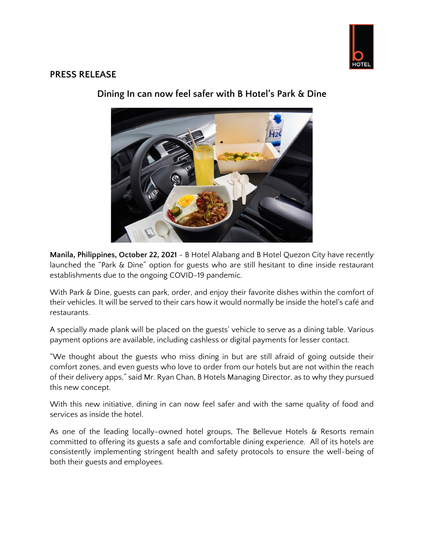

## **PRESS RELEASE**



**Dining In can now feel safer with B Hotel's Park & Dine**

**Manila, Philippines, October 22, 2021** - B Hotel Alabang and B Hotel Quezon City have recently launched the "Park & Dine" option for guests who are still hesitant to dine inside restaurant establishments due to the ongoing COVID-19 pandemic.

With Park & Dine, guests can park, order, and enjoy their favorite dishes within the comfort of their vehicles. It will be served to their cars how it would normally be inside the hotel's café and restaurants.

A specially made plank will be placed on the guests' vehicle to serve as a dining table. Various payment options are available, including cashless or digital payments for lesser contact.

"We thought about the guests who miss dining in but are still afraid of going outside their comfort zones, and even guests who love to order from our hotels but are not within the reach of their delivery apps," said Mr. Ryan Chan, B Hotels Managing Director, as to why they pursued this new concept.

With this new initiative, dining in can now feel safer and with the same quality of food and services as inside the hotel.

As one of the leading locally-owned hotel groups, The Bellevue Hotels & Resorts remain committed to offering its guests a safe and comfortable dining experience. All of its hotels are consistently implementing stringent health and safety protocols to ensure the well-being of both their guests and employees.